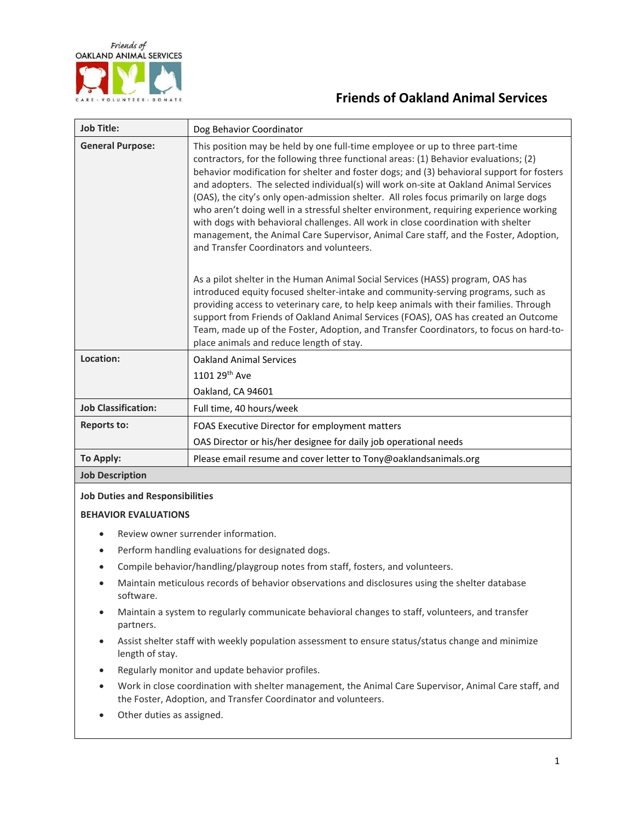

## **Friends of Oakland Animal Services**

| <b>Job Title:</b>          | Dog Behavior Coordinator                                                                                                                                                                                                                                                                                                                                                                                                                                                                                                                                                                                                                                                                                                                                                 |
|----------------------------|--------------------------------------------------------------------------------------------------------------------------------------------------------------------------------------------------------------------------------------------------------------------------------------------------------------------------------------------------------------------------------------------------------------------------------------------------------------------------------------------------------------------------------------------------------------------------------------------------------------------------------------------------------------------------------------------------------------------------------------------------------------------------|
| <b>General Purpose:</b>    | This position may be held by one full-time employee or up to three part-time<br>contractors, for the following three functional areas: (1) Behavior evaluations; (2)<br>behavior modification for shelter and foster dogs; and (3) behavioral support for fosters<br>and adopters. The selected individual(s) will work on-site at Oakland Animal Services<br>(OAS), the city's only open-admission shelter. All roles focus primarily on large dogs<br>who aren't doing well in a stressful shelter environment, requiring experience working<br>with dogs with behavioral challenges. All work in close coordination with shelter<br>management, the Animal Care Supervisor, Animal Care staff, and the Foster, Adoption,<br>and Transfer Coordinators and volunteers. |
|                            | As a pilot shelter in the Human Animal Social Services (HASS) program, OAS has<br>introduced equity focused shelter-intake and community-serving programs, such as<br>providing access to veterinary care, to help keep animals with their families. Through<br>support from Friends of Oakland Animal Services (FOAS), OAS has created an Outcome<br>Team, made up of the Foster, Adoption, and Transfer Coordinators, to focus on hard-to-<br>place animals and reduce length of stay.                                                                                                                                                                                                                                                                                 |
| Location:                  | <b>Oakland Animal Services</b><br>1101 29 <sup>th</sup> Ave<br>Oakland, CA 94601                                                                                                                                                                                                                                                                                                                                                                                                                                                                                                                                                                                                                                                                                         |
| <b>Job Classification:</b> | Full time, 40 hours/week                                                                                                                                                                                                                                                                                                                                                                                                                                                                                                                                                                                                                                                                                                                                                 |
| <b>Reports to:</b>         | FOAS Executive Director for employment matters<br>OAS Director or his/her designee for daily job operational needs                                                                                                                                                                                                                                                                                                                                                                                                                                                                                                                                                                                                                                                       |
| To Apply:                  | Please email resume and cover letter to Tony@oaklandsanimals.org                                                                                                                                                                                                                                                                                                                                                                                                                                                                                                                                                                                                                                                                                                         |
| <b>Job Description</b>     |                                                                                                                                                                                                                                                                                                                                                                                                                                                                                                                                                                                                                                                                                                                                                                          |

## **Job Duties and Responsibilities**

## **BEHAVIOR EVALUATIONS**

- Review owner surrender information.
- Perform handling evaluations for designated dogs.
- Compile behavior/handling/playgroup notes from staff, fosters, and volunteers.
- Maintain meticulous records of behavior observations and disclosures using the shelter database software.
- Maintain a system to regularly communicate behavioral changes to staff, volunteers, and transfer partners.
- Assist shelter staff with weekly population assessment to ensure status/status change and minimize length of stay.
- Regularly monitor and update behavior profiles.
- Work in close coordination with shelter management, the Animal Care Supervisor, Animal Care staff, and the Foster, Adoption, and Transfer Coordinator and volunteers.
- Other duties as assigned.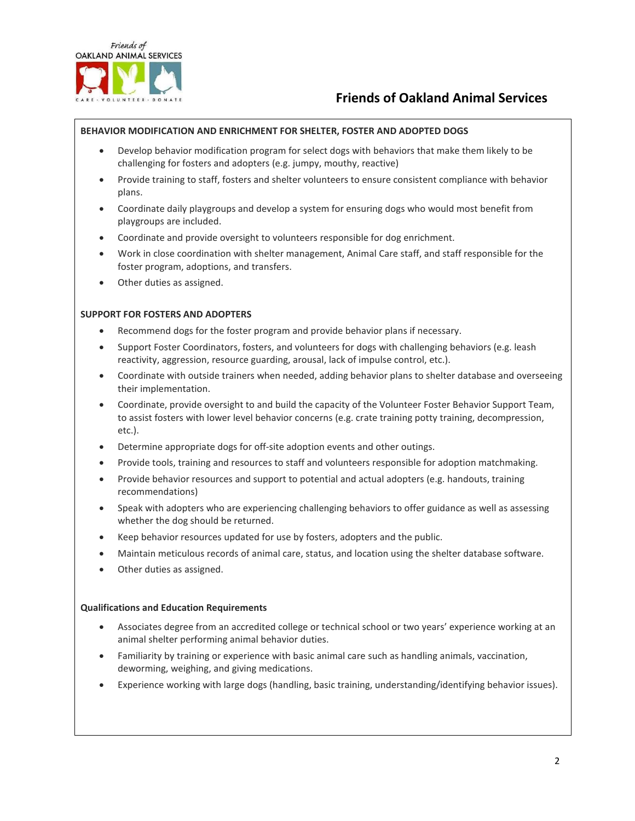

# **Friends of Oakland Animal Services**

## **BEHAVIOR MODIFICATION AND ENRICHMENT FOR SHELTER, FOSTER AND ADOPTED DOGS**

- Develop behavior modification program for select dogs with behaviors that make them likely to be challenging for fosters and adopters (e.g. jumpy, mouthy, reactive)
- Provide training to staff, fosters and shelter volunteers to ensure consistent compliance with behavior plans.
- Coordinate daily playgroups and develop a system for ensuring dogs who would most benefit from playgroups are included.
- Coordinate and provide oversight to volunteers responsible for dog enrichment.
- Work in close coordination with shelter management, Animal Care staff, and staff responsible for the foster program, adoptions, and transfers.
- Other duties as assigned.

### **SUPPORT FOR FOSTERS AND ADOPTERS**

- Recommend dogs for the foster program and provide behavior plans if necessary.
- Support Foster Coordinators, fosters, and volunteers for dogs with challenging behaviors (e.g. leash reactivity, aggression, resource guarding, arousal, lack of impulse control, etc.).
- Coordinate with outside trainers when needed, adding behavior plans to shelter database and overseeing their implementation.
- Coordinate, provide oversight to and build the capacity of the Volunteer Foster Behavior Support Team, to assist fosters with lower level behavior concerns (e.g. crate training potty training, decompression, etc.).
- Determine appropriate dogs for off-site adoption events and other outings.
- Provide tools, training and resources to staff and volunteers responsible for adoption matchmaking.
- Provide behavior resources and support to potential and actual adopters (e.g. handouts, training recommendations)
- Speak with adopters who are experiencing challenging behaviors to offer guidance as well as assessing whether the dog should be returned.
- Keep behavior resources updated for use by fosters, adopters and the public.
- Maintain meticulous records of animal care, status, and location using the shelter database software.
- Other duties as assigned.

#### **Qualifications and Education Requirements**

- Associates degree from an accredited college or technical school or two years' experience working at an animal shelter performing animal behavior duties.
- Familiarity by training or experience with basic animal care such as handling animals, vaccination, deworming, weighing, and giving medications.
- Experience working with large dogs (handling, basic training, understanding/identifying behavior issues).